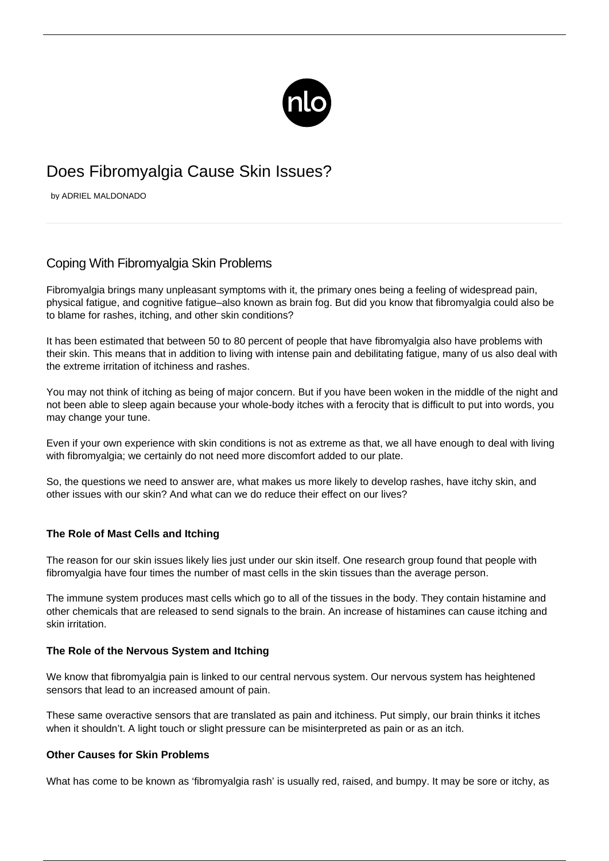

# Does Fibromyalgia Cause Skin Issues?

by ADRIEL MALDONADO

# Coping With Fibromyalgia Skin Problems

Fibromyalgia brings many unpleasant symptoms with it, the primary ones being a feeling of widespread pain, physical fatigue, and cognitive fatigue–also known as [brain fog](/fibromyalgia-brain-fog/). But did you know that fibromyalgia could also be to blame for rashes, itching, and other skin conditions?

It has been estimated that between 50 to 80 percent of people that have fibromyalgia also have problems with their skin. This means that in addition to living with intense pain and debilitating fatigue, many of us also deal with the extreme irritation of itchiness and rashes.

You may not think of itching as being of major concern. But if you have been woken in the middle of the night and not been able to sleep again because your whole-body itches with a ferocity that is difficult to put into words, you may change your tune.

Even if your own experience with skin conditions is not as extreme as that, we all have enough to deal with living with fibromyalgia; we certainly do not need more discomfort added to our plate.

So, the questions we need to answer are, what makes us more likely to develop rashes, have itchy skin, and other issues with our skin? And what can we do reduce their effect on our lives?

## **The Role of Mast Cells and Itching**

The reason for our skin issues likely lies just under our skin itself. One research group found that people with fibromyalgia have four times the number of mast cells in the skin tissues than the average person.

The immune system produces mast cells which go to all of the tissues in the body. They contain histamine and other chemicals that are released to send signals to the brain. An increase of histamines can cause itching and skin irritation.

#### **The Role of the Nervous System and Itching**

We know that [fibromyalgia pain](/habits-relieve-pain/) is linked to our central nervous system. Our nervous system has heightened sensors that lead to an increased amount of pain.

These same overactive sensors that are translated as pain and itchiness. Put simply, our brain thinks it itches when it shouldn't. A light touch or slight pressure can be misinterpreted as pain or as an itch.

#### **Other Causes for Skin Problems**

What has come to be known as '[fibromyalgia rash'](/fibromyalgia-rash/) is usually red, raised, and bumpy. It may be sore or itchy, as